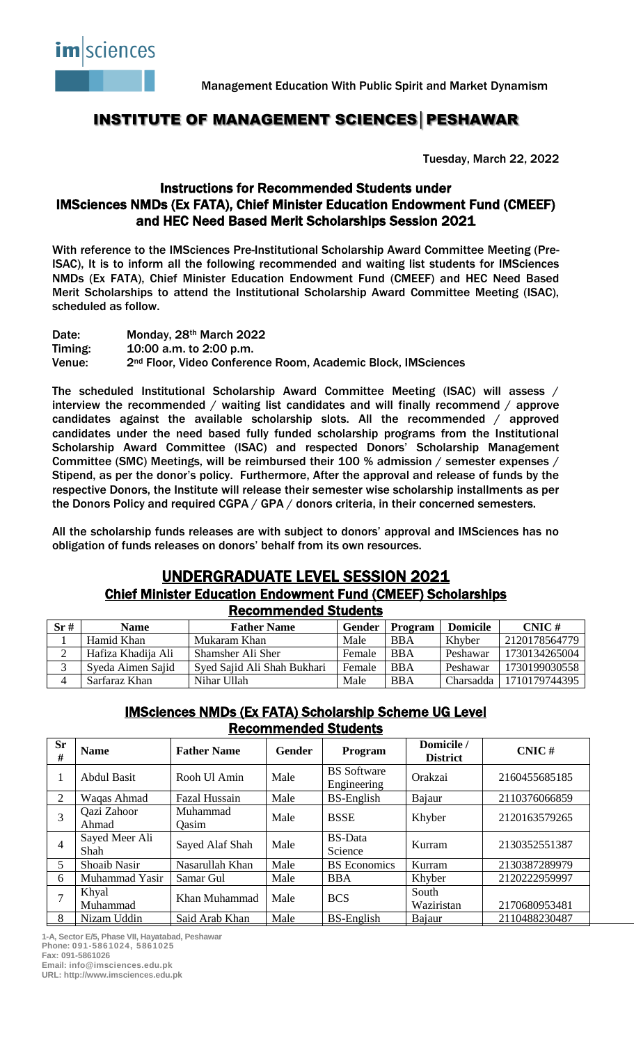

## INSTITUTE OF MANAGEMENT SCIENCES│PESHAWAR

Tuesday, March 22, 2022

#### Instructions for Recommended Students under IMSciences NMDs (Ex FATA), Chief Minister Education Endowment Fund (CMEEF) and HEC Need Based Merit Scholarships Session 2021

With reference to the IMSciences Pre-Institutional Scholarship Award Committee Meeting (Pre-ISAC), It is to inform all the following recommended and waiting list students for IMSciences NMDs (Ex FATA), Chief Minister Education Endowment Fund (CMEEF) and HEC Need Based Merit Scholarships to attend the Institutional Scholarship Award Committee Meeting (ISAC), scheduled as follow.

Date: Monday, 28<sup>th</sup> March 2022 Timing: 10:00 a.m. to 2:00 p.m. Venue: 2nd Floor, Video Conference Room, Academic Block, IMSciences

The scheduled Institutional Scholarship Award Committee Meeting (ISAC) will assess / interview the recommended / waiting list candidates and will finally recommend / approve candidates against the available scholarship slots. All the recommended / approved candidates under the need based fully funded scholarship programs from the Institutional Scholarship Award Committee (ISAC) and respected Donors' Scholarship Management Committee (SMC) Meetings, will be reimbursed their 100 % admission / semester expenses / Stipend, as per the donor's policy. Furthermore, After the approval and release of funds by the respective Donors, the Institute will release their semester wise scholarship installments as per the Donors Policy and required CGPA / GPA / donors criteria, in their concerned semesters.

All the scholarship funds releases are with subject to donors' approval and IMSciences has no obligation of funds releases on donors' behalf from its own resources.

# UNDERGRADUATE LEVEL SESSION 2021

#### Chief Minister Education Endowment Fund (CMEEF) Scholarships Recommended Students

| Sr# | <b>Name</b>        | <b>Father Name</b>          | Gender | Program    | <b>Domicile</b> | $CNIC \#$     |
|-----|--------------------|-----------------------------|--------|------------|-----------------|---------------|
|     | Hamid Khan         | Mukaram Khan                | Male   | <b>BBA</b> | Khyber          | 2120178564779 |
|     | Hafiza Khadija Ali | Shamsher Ali Sher           | Female | <b>BBA</b> | Peshawar        | 1730134265004 |
|     | Syeda Aimen Sajid  | Syed Sajid Ali Shah Bukhari | Female | <b>BBA</b> | Peshawar        | 1730199030558 |
|     | Sarfaraz Khan      | Nihar Ullah                 | Male   | <b>BBA</b> | Charsadda       | 1710179744395 |

#### IMSciences NMDs (Ex FATA) Scholarship Scheme UG Level Recommended Students

| <b>Sr</b><br># | <b>Name</b>            | <b>Father Name</b> | <b>Gender</b> | Program                           | Domicile /<br><b>District</b> | $CNIC \#$     |
|----------------|------------------------|--------------------|---------------|-----------------------------------|-------------------------------|---------------|
| 1              | <b>Abdul Basit</b>     | Rooh Ul Amin       | Male          | <b>BS</b> Software<br>Engineering | Orakzai                       | 2160455685185 |
| 2              | Waqas Ahmad            | Fazal Hussain      | Male          | <b>BS-English</b>                 | Bajaur                        | 2110376066859 |
| 3              | Qazi Zahoor<br>Ahmad   | Muhammad<br>Qasim  | Male          | <b>BSSE</b>                       | Khyber                        | 2120163579265 |
|                | Sayed Meer Ali<br>Shah | Sayed Alaf Shah    | Male          | <b>BS-Data</b><br>Science         | Kurram                        | 2130352551387 |
| 5              | <b>Shoaib Nasir</b>    | Nasarullah Khan    | Male          | <b>BS</b> Economics               | Kurram                        | 2130387289979 |
| 6              | Muhammad Yasir         | Samar Gul          | Male          | <b>BBA</b>                        | Khyber                        | 2120222959997 |
|                | Khyal<br>Muhammad      | Khan Muhammad      | Male          | <b>BCS</b>                        | South<br>Waziristan           | 2170680953481 |
| 8              | Nizam Uddin            | Said Arab Khan     | Male          | <b>BS-English</b>                 | Bajaur                        | 2110488230487 |

**1-A, Sector E/5, Phase VII, Hayatabad, Peshawar Phone: 091-5861024, 5861025 Fax: 091-5861026 Email: info@imsciences.edu.pk**

**URL: http://www.imsciences.edu.pk**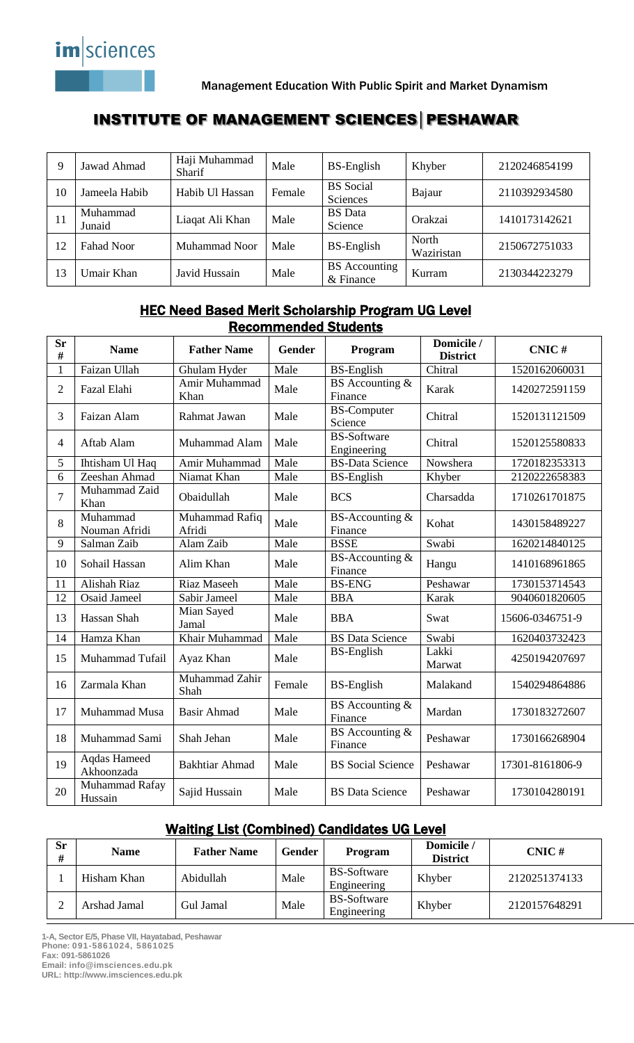

# INSTITUTE OF MANAGEMENT SCIENCES│PESHAWAR

| 9  | Jawad Ahmad        | Haji Muhammad<br>Sharif | Male   | <b>BS-English</b>                   | Khyber              | 2120246854199 |
|----|--------------------|-------------------------|--------|-------------------------------------|---------------------|---------------|
| 10 | Jameela Habib      | Habib Ul Hassan         | Female | <b>BS</b> Social<br>Sciences        | Bajaur              | 2110392934580 |
| 11 | Muhammad<br>Junaid | Liaqat Ali Khan         | Male   | <b>BS</b> Data<br>Science           | Orakzai             | 1410173142621 |
| 12 | Fahad Noor         | <b>Muhammad Noor</b>    | Male   | <b>BS-English</b>                   | North<br>Waziristan | 2150672751033 |
| 13 | Umair Khan         | Javid Hussain           | Male   | <b>BS</b> Accounting<br>$&$ Finance | Kurram              | 2130344223279 |

### HEC Need Based Merit Scholarship Program UG Level Recommended Students

| <b>Sr</b><br># | <b>Name</b>                | <b>Father Name</b>       | <b>Gender</b> | Program                           | Domicile /<br><b>District</b> | CNIC#           |
|----------------|----------------------------|--------------------------|---------------|-----------------------------------|-------------------------------|-----------------|
| $\mathbf{1}$   | Faizan Ullah               | Ghulam Hyder             | Male          | <b>BS-English</b>                 | Chitral                       | 1520162060031   |
| $\overline{2}$ | Fazal Elahi                | Amir Muhammad<br>Khan    | Male          | BS Accounting &<br>Finance        | Karak                         | 1420272591159   |
| 3              | Faizan Alam                | Rahmat Jawan             | Male          | <b>BS-Computer</b><br>Science     | Chitral                       | 1520131121509   |
| $\overline{4}$ | Aftab Alam                 | Muhammad Alam            | Male          | <b>BS-Software</b><br>Engineering | Chitral                       | 1520125580833   |
| 5              | Ihtisham Ul Haq            | Amir Muhammad            | Male          | <b>BS-Data Science</b>            | Nowshera                      | 1720182353313   |
| $\overline{6}$ | Zeeshan Ahmad              | Niamat Khan              | Male          | <b>BS-English</b>                 | Khyber                        | 2120222658383   |
| $\overline{7}$ | Muhammad Zaid<br>Khan      | Obaidullah               | Male          | <b>BCS</b>                        | Charsadda                     | 1710261701875   |
| 8              | Muhammad<br>Nouman Afridi  | Muhammad Rafiq<br>Afridi | Male          | BS-Accounting &<br>Finance        | Kohat                         | 1430158489227   |
| 9              | Salman Zaib                | Alam Zaib                | Male          | <b>BSSE</b>                       | Swabi                         | 1620214840125   |
| 10             | Sohail Hassan              | Alim Khan                | Male          | BS-Accounting &<br>Finance        | Hangu                         | 1410168961865   |
| 11             | Alishah Riaz               | Riaz Maseeh              | Male          | <b>BS-ENG</b>                     | Peshawar                      | 1730153714543   |
| 12             | <b>Osaid Jameel</b>        | Sabir Jameel             | Male          | <b>BBA</b>                        | Karak                         | 9040601820605   |
| 13             | Hassan Shah                | Mian Sayed<br>Jamal      | Male          | <b>BBA</b>                        | Swat                          | 15606-0346751-9 |
| 14             | Hamza Khan                 | Khair Muhammad           | Male          | <b>BS</b> Data Science            | Swabi                         | 1620403732423   |
| 15             | Muhammad Tufail            | Ayaz Khan                | Male          | <b>BS-English</b>                 | Lakki<br>Marwat               | 4250194207697   |
| 16             | Zarmala Khan               | Muhammad Zahir<br>Shah   | Female        | <b>BS-English</b>                 | Malakand                      | 1540294864886   |
| 17             | Muhammad Musa              | <b>Basir Ahmad</b>       | Male          | BS Accounting &<br>Finance        | Mardan                        | 1730183272607   |
| 18             | Muhammad Sami              | Shah Jehan               | Male          | BS Accounting &<br>Finance        | Peshawar                      | 1730166268904   |
| 19             | Aqdas Hameed<br>Akhoonzada | <b>Bakhtiar Ahmad</b>    | Male          | <b>BS</b> Social Science          | Peshawar                      | 17301-8161806-9 |
| 20             | Muhammad Rafay<br>Hussain  | Sajid Hussain            | Male          | <b>BS</b> Data Science            | Peshawar                      | 1730104280191   |

#### Waiting List (Combined) Candidates UG Level

| <b>Sr</b><br># | <b>Name</b>  | <b>Father Name</b> | Gender | Program                           | Domicile /<br><b>District</b> | $CNIC \#$     |
|----------------|--------------|--------------------|--------|-----------------------------------|-------------------------------|---------------|
|                | Hisham Khan  | Abidullah          | Male   | <b>BS-Software</b><br>Engineering | Khyber                        | 2120251374133 |
|                | Arshad Jamal | Gul Jamal          | Male   | BS-Software<br>Engineering        | Khyber                        | 2120157648291 |

**1-A, Sector E/5, Phase VII, Hayatabad, Peshawar Phone: 091-5861024, 5861025 Fax: 091-5861026 Email: info@imsciences.edu.pk**

**URL: http://www.imsciences.edu.pk**